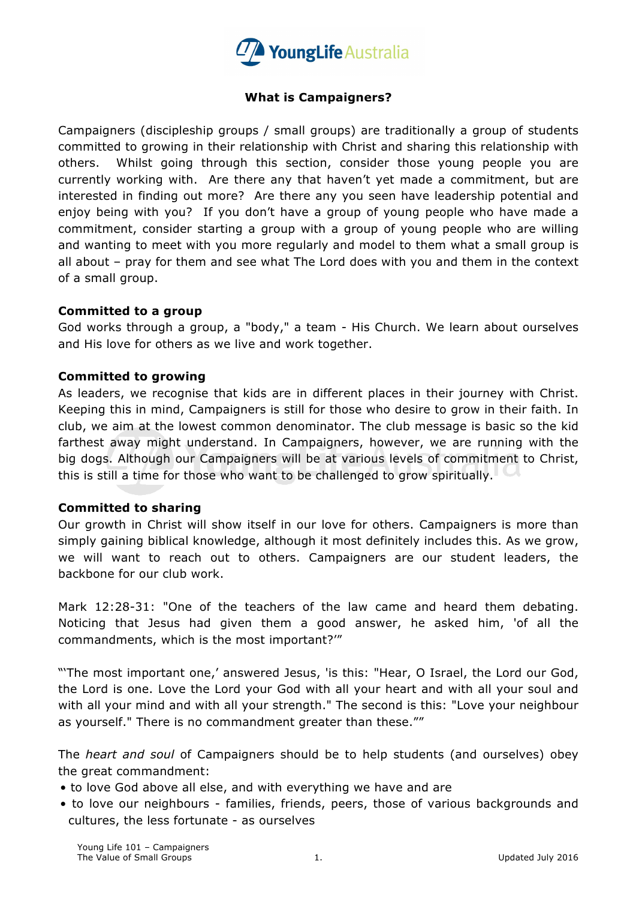

## **What is Campaigners?**

Campaigners (discipleship groups / small groups) are traditionally a group of students committed to growing in their relationship with Christ and sharing this relationship with others. Whilst going through this section, consider those young people you are currently working with. Are there any that haven't yet made a commitment, but are interested in finding out more? Are there any you seen have leadership potential and enjoy being with you? If you don't have a group of young people who have made a commitment, consider starting a group with a group of young people who are willing and wanting to meet with you more regularly and model to them what a small group is all about – pray for them and see what The Lord does with you and them in the context of a small group.

#### **Committed to a group**

God works through a group, a "body," a team - His Church. We learn about ourselves and His love for others as we live and work together.

### **Committed to growing**

As leaders, we recognise that kids are in different places in their journey with Christ. Keeping this in mind, Campaigners is still for those who desire to grow in their faith. In club, we aim at the lowest common denominator. The club message is basic so the kid farthest away might understand. In Campaigners, however, we are running with the big dogs. Although our Campaigners will be at various levels of commitment to Christ, this is still a time for those who want to be challenged to grow spiritually.

#### **Committed to sharing**

Our growth in Christ will show itself in our love for others. Campaigners is more than simply gaining biblical knowledge, although it most definitely includes this. As we grow, we will want to reach out to others. Campaigners are our student leaders, the backbone for our club work.

Mark 12:28-31: "One of the teachers of the law came and heard them debating. Noticing that Jesus had given them a good answer, he asked him, 'of all the commandments, which is the most important?'"

"'The most important one,' answered Jesus, 'is this: "Hear, O Israel, the Lord our God, the Lord is one. Love the Lord your God with all your heart and with all your soul and with all your mind and with all your strength." The second is this: "Love your neighbour as yourself." There is no commandment greater than these.""

The *heart and soul* of Campaigners should be to help students (and ourselves) obey the great commandment:

- to love God above all else, and with everything we have and are
- to love our neighbours families, friends, peers, those of various backgrounds and cultures, the less fortunate - as ourselves